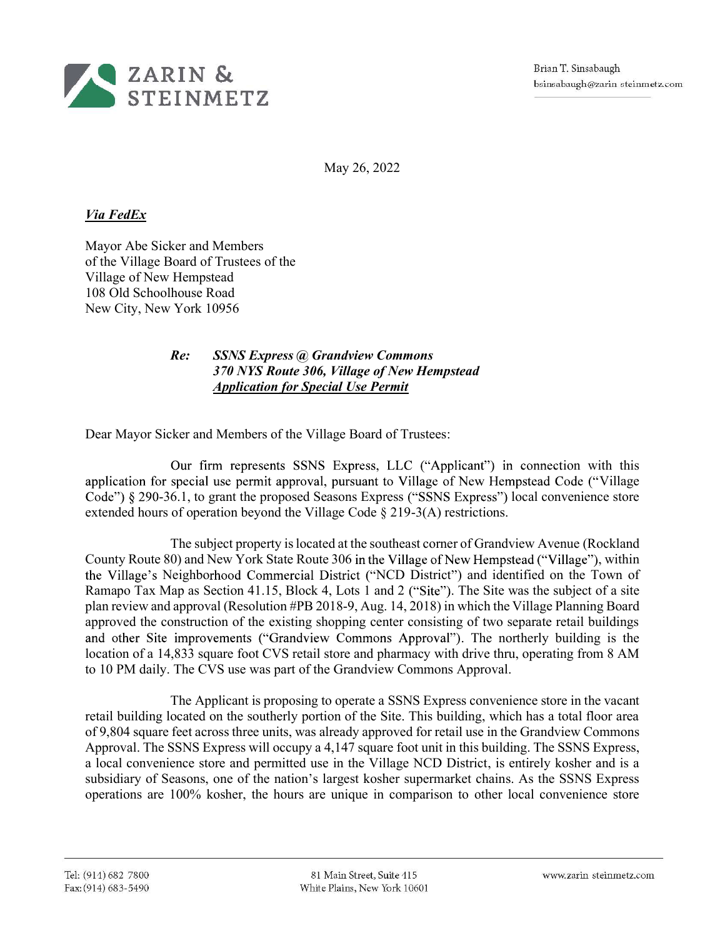

May 26, 2022

## Via FedEx

Mayor Abe Sicker and Members of the Village Board of Trustees of the Village of New Hempstead 108 Old Schoolhouse Road New City, New York 10956

## Re: SSNS Express @ Grandview Commons 370 NYS Route 306, Village of New Hempstead Application for Special Use Permit

Dear Mayor Sicker and Members of the Village Board of Trustees:

Our firm represents SSNS Express, LLC ("Applicant") in connection with this application for special use permit approval, pursuant to Village of New Hempstead Code ("Village  $Code$ ")  $§$  290-36.1, to grant the proposed Seasons Express ("SSNS Express") local convenience store extended hours of operation beyond the Village Code § 219-3(A) restrictions.

The subject property is located at the southeast corner of Grandview Avenue (Rockland County Route 80) and New York State Route 306 in the Village of New Hempstead ("Village"), within the Village's Neighborhood Commercial District ("NCD District") and identified on the Town of Ramapo Tax Map as Section 41.15, Block 4, Lots 1 and 2 ("Site"). The Site was the subject of a site plan review and approval (Resolution #PB 2018-9, Aug. 14, 2018) in which the Village Planning Board approved the construction of the existing shopping center consisting of two separate retail buildings and other Site improvements ("Grandview Commons Approval"). The northerly building is the location of a 14,833 square foot CVS retail store and pharmacy with drive thru, operating from 8 AM to 10 PM daily. The CVS use was part of the Grandview Commons Approval.

The Applicant is proposing to operate a SSNS Express convenience store in the vacant retail building located on the southerly portion of the Site. This building, which has a total floor area of 9,804 square feet across three units, was already approved for retail use in the Grandview Commons Approval. The SSNS Express will occupy a 4,147 square foot unit in this building. The SSNS Express, a local convenience store and permitted use in the Village NCD District, is entirely kosher and is a subsidiary of Seasons, one of the nation's largest kosher supermarket chains. As the SSNS Express operations are 100% kosher, the hours are unique in comparison to other local convenience store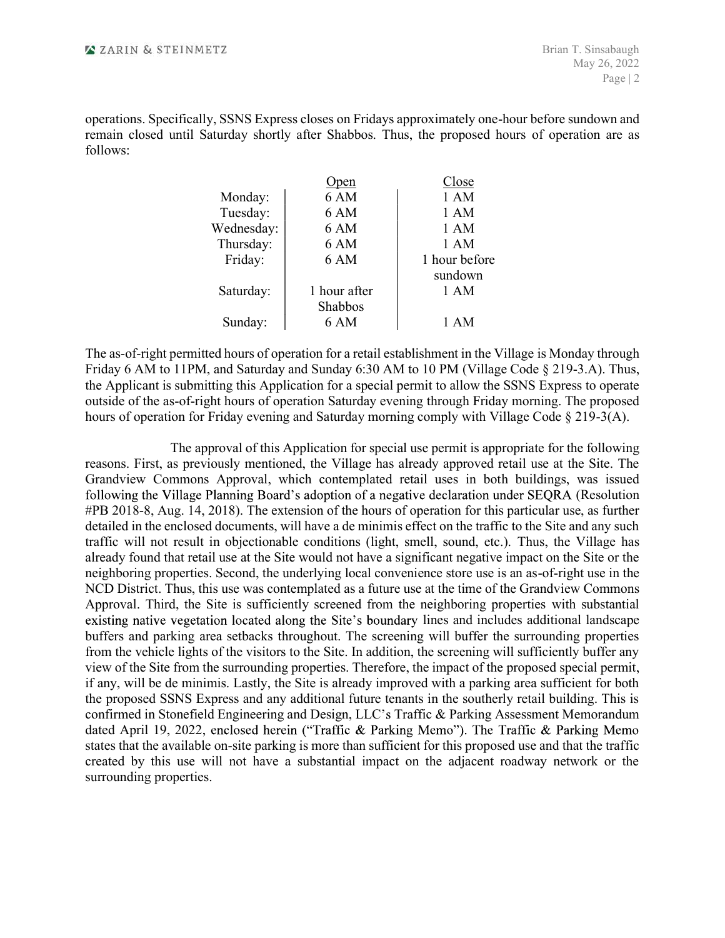operations. Specifically, SSNS Express closes on Fridays approximately one-hour before sundown and remain closed until Saturday shortly after Shabbos. Thus, the proposed hours of operation are as follows:

| EINMETZ    |                         |                                                                                                    | Brian T. Sinsabaugh<br>May 26, 2022<br>Page $ 2$ |
|------------|-------------------------|----------------------------------------------------------------------------------------------------|--------------------------------------------------|
|            | Open                    | until Saturday shortly after Shabbos. Thus, the proposed hours of operation are as<br><u>Close</u> |                                                  |
| Monday:    | 6 AM                    | 1 AM                                                                                               |                                                  |
| Tuesday:   | 6 AM                    | 1 AM                                                                                               |                                                  |
| Wednesday: | 6 AM                    | 1 AM                                                                                               |                                                  |
| Thursday:  | 6 AM                    | 1 AM                                                                                               |                                                  |
| Friday:    | 6 AM                    | 1 hour before                                                                                      |                                                  |
|            |                         | sundown                                                                                            |                                                  |
| Saturday:  | 1 hour after<br>Shabbos | 1 AM                                                                                               |                                                  |
| Sunday:    | 6 AM                    | 1 AM                                                                                               |                                                  |

**EXAREN & STEINMETZ**<br>
Show 26, 2022<br>
operations. Specifically, SSNS Express closes on Fridays approximately one-hour before sundown and<br>
remain closed until Saturday shortly after Shabbos. Thus, the proposed hours of oper Friday 6. Specifically, SSNS Express closes on Fridays approximately one-hour before sundown and<br>
remain closed until Saturday shortly after Shabbos. Thus, the proposed hours of operation are as<br>
follows:<br>
Monday:<br>
Monday the Applicant is submitted hours of operation for a retail establishment in the Village Code & 219-3(A)<br>
The Application for a special permit of a special permitted with the SSNS Expression of the SSNS Expression of the S outside of the as-of-right hours of operation Saturday evening through Friday morning. The proposed hours of operation for Friday evening and Saturday morning comply with Village Code § 219-3(A).

Monday:  $\frac{Open}{1 AM}$   $\frac{1}{1 AM}$ <br>
Tuesday: 6 AM  $\frac{1}{1 AM}$ <br>
Thursday: 6 AM  $\frac{1}{1 AM}$ <br>
Thursday: 6 AM  $\frac{1}{1 AM}$ <br>
Friday: 6 AM  $\frac{1}{1 AM}$ <br>
Friday: 6 AM  $\frac{1}{1 AM}$ <br>
The as-of-right permitted hours of operation for a retail es Grandview Commons Approval, which contemplated retail uses in both buildings, was issued following the Village Planning Board's adoption of a negative declaration under SEQRA (Resolution #PB 2018-8, Aug. 14, 2018). The extension of the hours of operation for this particular use, as further detailed in the enclosed documents, will have a de minimis effect on the traffic to the Site and any such traffic will not result in objectionable conditions (light, smell, sound, etc.). Thus, the Village has Friday:<br>
Saturday: 16 AM and worst that the summer and with the Village is Monday through<br>
The as-of-right permitted hours of operation for a retail establishment in the Village is Monday through<br>
Friday 6 AM to 11PM, and neighboring properties. Second, the underlying local convenience store use is an as-of-right use in the NCD District. Thus, this use was contemplated as a future use at the time of the Grandview Commons Approval. Third, the Site is sufficiently screened from the neighboring properties with substantial 1 AM<br>
hment in the Village is Monday through<br>
10 PM (Village Code § 219-3.A). Thus,<br>
it to allow the SSNS Express to operate<br>
through Friday morning. The proposed<br>
omply with Village Code § 219-3(A).<br>
omply with Village C The as-of-right permitted hours of operation for a retail establishment in the Village is Monday through<br>Friday 6 AM to 11PM, and Saturday and Sunday 6:30 AM to 10 PM (Village Code § 219-3.A). Thus,<br>the Application is und The as-of-right permitted hours of operation for a retail establishment in the Village is Monday through the Friday 6 AM to 11PM, and Shartay and Shurday 6:30 AM to 10 PM (Village Code § 219-3.A). Thus, the Application is Friday 6 AM to 11PM, and Saturday and Sanday 6:30 AM to 10 PM (Village Code § 219-3.A). Thus,<br>the Application for simulation ground is application for a special permit to allow the SSNS Express to operate<br>outside of the a if any, will be de minimis. Lastly, the Site is already improved with a parking area sufficient for both the proposed SSNS Express and any additional future tenants in the southerly retail building. This is hours of operation for Friday evening and Saturday morning comply with Village Code § 219-3(A).<br>The approval of this Application for special use permit is appropriate for the following<br>reasons. First, as previously mention dated April 19, 2022, enclosed herein ("Traffic & Parking Memo"). The Traffic & Parking Memo states that the available on-site parking is more than sufficient for this proposed use and that the traffic created by this use will not have a substantial impact on the adjacent roadway network or the surrounding properties.